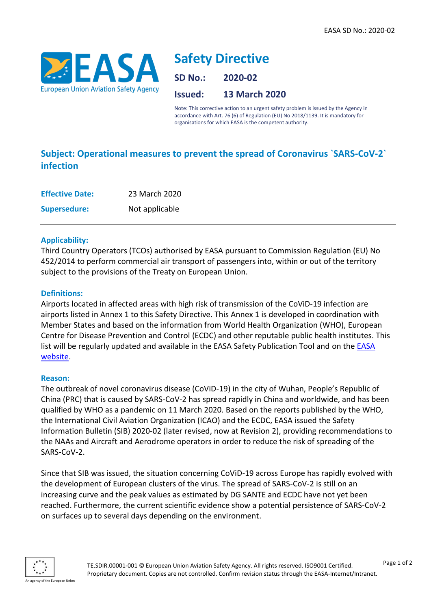

# **Safety Directive**

**SD No.: 2020-02**

**Issued: 13 March 2020**

Note: This corrective action to an urgent safety problem is issued by the Agency in accordance with Art. 76 (6) of Regulation (EU) No 2018/1139. It is mandatory for organisations for which EASA is the competent authority.

# **Subject: Operational measures to prevent the spread of Coronavirus `SARS-CoV-2` infection**

| <b>Effective Date:</b> | 23 March 2020  |
|------------------------|----------------|
| <b>Supersedure:</b>    | Not applicable |

# **Applicability:**

Third Country Operators (TCOs) authorised by EASA pursuant to Commission Regulation (EU) No 452/2014 to perform commercial air transport of passengers into, within or out of the territory subject to the provisions of the Treaty on European Union.

# **Definitions:**

Airports located in affected areas with high risk of transmission of the CoViD-19 infection are airports listed in Annex 1 to this Safety Directive. This Annex 1 is developed in coordination with Member States and based on the information from World Health Organization (WHO), European Centre for Disease Prevention and Control (ECDC) and other reputable public health institutes. This list will be regularly updated and available in the [EASA](https://www.easa.europa.eu/SD-2020-01/Airports) Safety Publication Tool and on the **EASA** [website.](https://www.easa.europa.eu/SD-2020-01/Airports)

#### **Reason:**

The outbreak of novel coronavirus disease (CoViD-19) in the city of Wuhan, People's Republic of China (PRC) that is caused by SARS-CoV-2 has spread rapidly in China and worldwide, and has been qualified by WHO as a pandemic on 11 March 2020. Based on the reports published by the WHO, the International Civil Aviation Organization (ICAO) and the ECDC, EASA issued the Safety Information Bulletin (SIB) 2020-02 (later revised, now at Revision 2), providing recommendations to the NAAs and Aircraft and Aerodrome operators in order to reduce the risk of spreading of the SARS-CoV-2.

Since that SIB was issued, the situation concerning CoViD-19 across Europe has rapidly evolved with the development of European clusters of the virus. The spread of SARS-CoV-2 is still on an increasing curve and the peak values as estimated by DG SANTE and ECDC have not yet been reached. Furthermore, the current scientific evidence show a potential persistence of SARS-CoV-2 on surfaces up to several days depending on the environment.